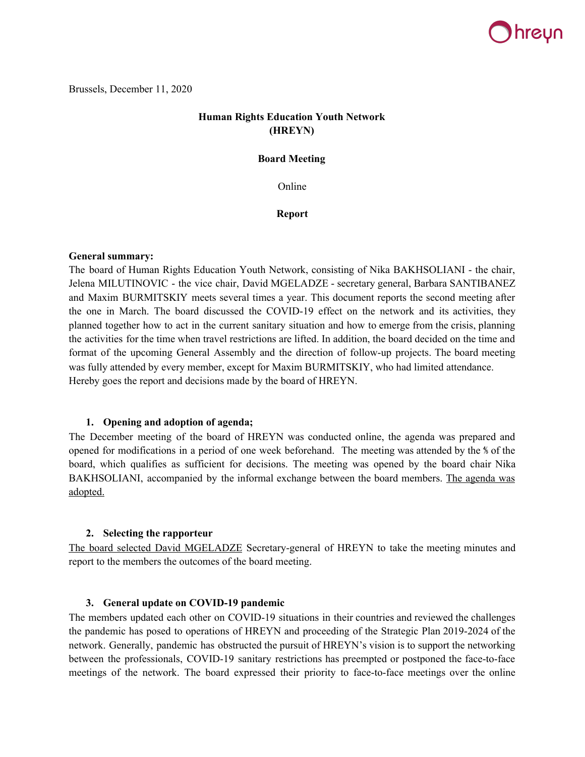

Brussels, December 11, 2020

# **Human Rights Education Youth Network (HREYN)**

**Board Meeting**

Online

**Report**

#### **General summary:**

The board of Human Rights Education Youth Network, consisting of Nika BAKHSOLIANI - the chair, Jelena MILUTINOVIC - the vice chair, David MGELADZE - secretary general, Barbara SANTIBANEZ and Maxim BURMITSKIY meets several times a year. This document reports the second meeting after the one in March. The board discussed the COVID-19 effect on the network and its activities, they planned together how to act in the current sanitary situation and how to emerge from the crisis, planning the activities for the time when travel restrictions are lifted. In addition, the board decided on the time and format of the upcoming General Assembly and the direction of follow-up projects. The board meeting was fully attended by every member, except for Maxim BURMITSKIY, who had limited attendance. Hereby goes the report and decisions made by the board of HREYN.

#### **1. Opening and adoption of agenda;**

The December meeting of the board of HREYN was conducted online, the agenda was prepared and opened for modifications in a period of one week beforehand. The meeting was attended by the ⅘ of the board, which qualifies as sufficient for decisions. The meeting was opened by the board chair Nika BAKHSOLIANI, accompanied by the informal exchange between the board members. The agenda was adopted.

#### **2. Selecting the rapporteur**

The board selected David MGELADZE Secretary-general of HREYN to take the meeting minutes and report to the members the outcomes of the board meeting.

#### **3. General update on COVID-19 pandemic**

The members updated each other on COVID-19 situations in their countries and reviewed the challenges the pandemic has posed to operations of HREYN and proceeding of the Strategic Plan 2019-2024 of the network. Generally, pandemic has obstructed the pursuit of HREYN's vision is to support the networking between the professionals, COVID-19 sanitary restrictions has preempted or postponed the face-to-face meetings of the network. The board expressed their priority to face-to-face meetings over the online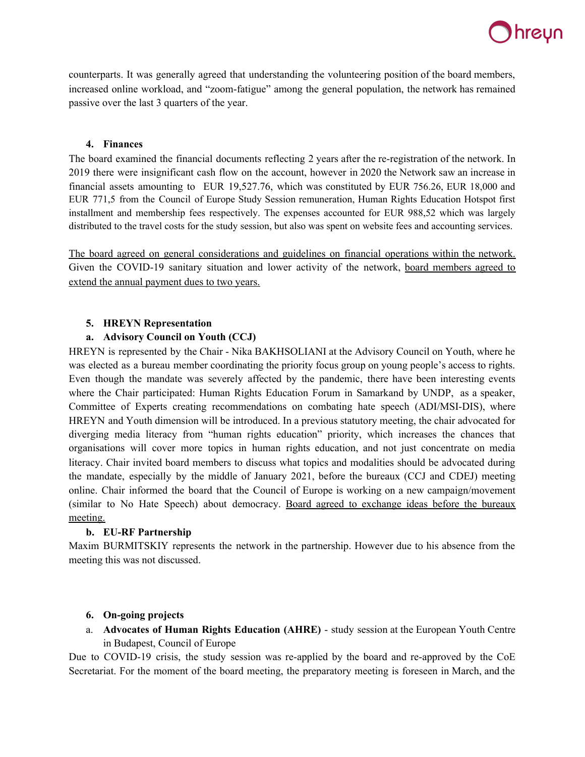

counterparts. It was generally agreed that understanding the volunteering position of the board members, increased online workload, and "zoom-fatigue" among the general population, the network has remained passive over the last 3 quarters of the year.

## **4. Finances**

The board examined the financial documents reflecting 2 years after the re-registration of the network. In 2019 there were insignificant cash flow on the account, however in 2020 the Network saw an increase in financial assets amounting to EUR 19,527.76, which was constituted by EUR 756.26, EUR 18,000 and EUR 771,5 from the Council of Europe Study Session remuneration, Human Rights Education Hotspot first installment and membership fees respectively. The expenses accounted for EUR 988,52 which was largely distributed to the travel costs for the study session, but also was spent on website fees and accounting services.

The board agreed on general considerations and guidelines on financial operations within the network. Given the COVID-19 sanitary situation and lower activity of the network, board members agreed to extend the annual payment dues to two years.

## **5. HREYN Representation**

## **a. Advisory Council on Youth (CCJ)**

HREYN is represented by the Chair - Nika BAKHSOLIANI at the Advisory Council on Youth, where he was elected as a bureau member coordinating the priority focus group on young people's access to rights. Even though the mandate was severely affected by the pandemic, there have been interesting events where the Chair participated: Human Rights Education Forum in Samarkand by UNDP, as a speaker, Committee of Experts creating recommendations on combating hate speech (ADI/MSI-DIS), where HREYN and Youth dimension will be introduced. In a previous statutory meeting, the chair advocated for diverging media literacy from "human rights education" priority, which increases the chances that organisations will cover more topics in human rights education, and not just concentrate on media literacy. Chair invited board members to discuss what topics and modalities should be advocated during the mandate, especially by the middle of January 2021, before the bureaux (CCJ and CDEJ) meeting online. Chair informed the board that the Council of Europe is working on a new campaign/movement (similar to No Hate Speech) about democracy. Board agreed to exchange ideas before the bureaux meeting.

## **b. EU-RF Partnership**

Maxim BURMITSKIY represents the network in the partnership. However due to his absence from the meeting this was not discussed.

# **6. On-going projects**

a. **Advocates of Human Rights Education (AHRE)** - study session at the European Youth Centre in Budapest, Council of Europe

Due to COVID-19 crisis, the study session was re-applied by the board and re-approved by the CoE Secretariat. For the moment of the board meeting, the preparatory meeting is foreseen in March, and the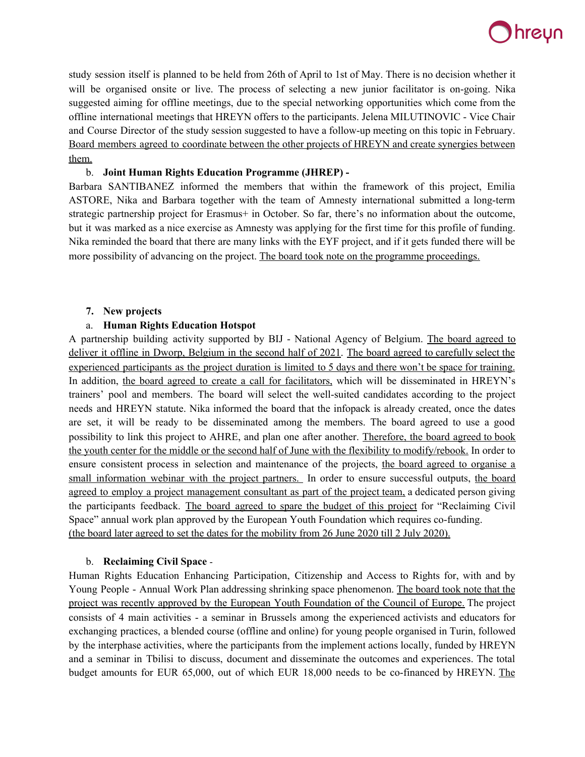

study session itself is planned to be held from 26th of April to 1st of May. There is no decision whether it will be organised onsite or live. The process of selecting a new junior facilitator is on-going. Nika suggested aiming for offline meetings, due to the special networking opportunities which come from the offline international meetings that HREYN offers to the participants. Jelena MILUTINOVIC - Vice Chair and Course Director of the study session suggested to have a follow-up meeting on this topic in February. Board members agreed to coordinate between the other projects of HREYN and create synergies between them.

## b. **Joint Human Rights Education Programme (JHREP) -**

Barbara SANTIBANEZ informed the members that within the framework of this project, Emilia ASTORE, Nika and Barbara together with the team of Amnesty international submitted a long-term strategic partnership project for Erasmus+ in October. So far, there's no information about the outcome, but it was marked as a nice exercise as Amnesty was applying for the first time for this profile of funding. Nika reminded the board that there are many links with the EYF project, and if it gets funded there will be more possibility of advancing on the project. The board took note on the programme proceedings.

## **7. New projects**

## a. **Human Rights Education Hotspot**

A partnership building activity supported by BIJ - National Agency of Belgium. The board agreed to deliver it offline in Dworp, Belgium in the second half of 2021. The board agreed to carefully select the experienced participants as the project duration is limited to 5 days and there won't be space for training. In addition, the board agreed to create a call for facilitators, which will be disseminated in HREYN's trainers' pool and members. The board will select the well-suited candidates according to the project needs and HREYN statute. Nika informed the board that the infopack is already created, once the dates are set, it will be ready to be disseminated among the members. The board agreed to use a good possibility to link this project to AHRE, and plan one after another. Therefore, the board agreed to book the youth center for the middle or the second half of June with the flexibility to modify/rebook. In order to ensure consistent process in selection and maintenance of the projects, the board agreed to organise a small information webinar with the project partners. In order to ensure successful outputs, the board agreed to employ a project management consultant as part of the project team, a dedicated person giving the participants feedback. The board agreed to spare the budget of this project for "Reclaiming Civil Space" annual work plan approved by the European Youth Foundation which requires co-funding. (the board later agreed to set the dates for the mobility from 26 June 2020 till 2 July 2020).

## b. **Reclaiming Civil Space** -

Human Rights Education Enhancing Participation, Citizenship and Access to Rights for, with and by Young People - Annual Work Plan addressing shrinking space phenomenon. The board took note that the project was recently approved by the European Youth Foundation of the Council of Europe. The project consists of 4 main activities - a seminar in Brussels among the experienced activists and educators for exchanging practices, a blended course (offline and online) for young people organised in Turin, followed by the interphase activities, where the participants from the implement actions locally, funded by HREYN and a seminar in Tbilisi to discuss, document and disseminate the outcomes and experiences. The total budget amounts for EUR 65,000, out of which EUR 18,000 needs to be co-financed by HREYN. The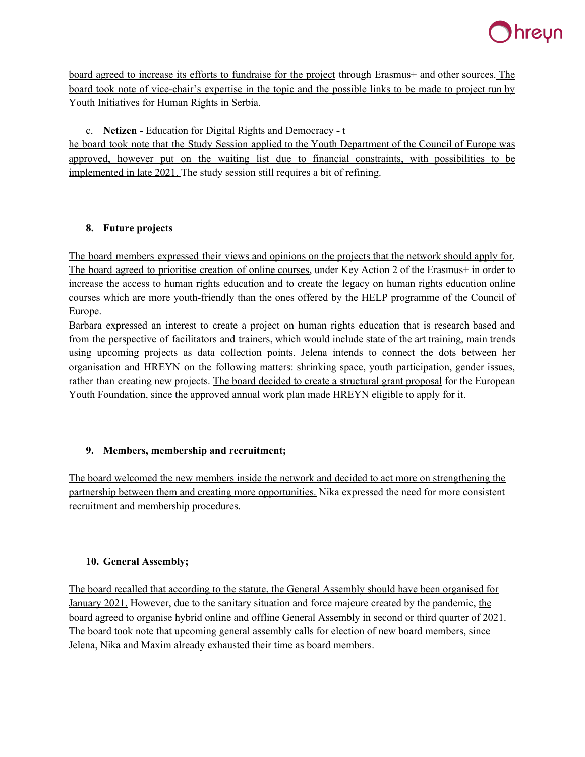

board agreed to increase its efforts to fundraise for the project through Erasmus+ and other sources. The board took note of vice-chair's expertise in the topic and the possible links to be made to project run by Youth Initiatives for Human Rights in Serbia.

c. **Netizen -** Education for Digital Rights and Democracy **-** t

he board took note that the Study Session applied to the Youth Department of the Council of Europe was approved, however put on the waiting list due to financial constraints, with possibilities to be implemented in late 2021. The study session still requires a bit of refining.

# **8. Future projects**

The board members expressed their views and opinions on the projects that the network should apply for. The board agreed to prioritise creation of online courses, under Key Action 2 of the Erasmus+ in order to increase the access to human rights education and to create the legacy on human rights education online courses which are more youth-friendly than the ones offered by the HELP programme of the Council of Europe.

Barbara expressed an interest to create a project on human rights education that is research based and from the perspective of facilitators and trainers, which would include state of the art training, main trends using upcoming projects as data collection points. Jelena intends to connect the dots between her organisation and HREYN on the following matters: shrinking space, youth participation, gender issues, rather than creating new projects. The board decided to create a structural grant proposal for the European Youth Foundation, since the approved annual work plan made HREYN eligible to apply for it.

# **9. Members, membership and recruitment;**

The board welcomed the new members inside the network and decided to act more on strengthening the partnership between them and creating more opportunities. Nika expressed the need for more consistent recruitment and membership procedures.

## **10. General Assembly;**

The board recalled that according to the statute, the General Assembly should have been organised for January 2021. However, due to the sanitary situation and force majeure created by the pandemic, the board agreed to organise hybrid online and offline General Assembly in second or third quarter of 2021. The board took note that upcoming general assembly calls for election of new board members, since Jelena, Nika and Maxim already exhausted their time as board members.